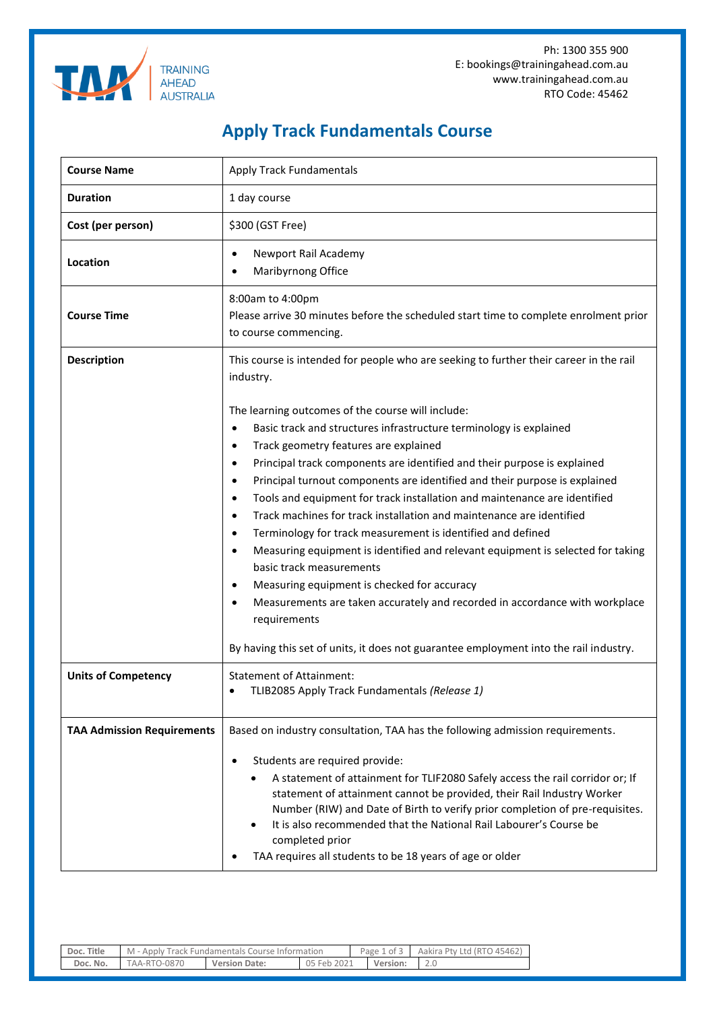Ph: 1300 355 900 E: bookings@trainingahead.com.au www.trainingahead.com.au RTO Code: 45462



## **Apply Track Fundamentals Course**

| <b>Course Name</b>                | <b>Apply Track Fundamentals</b>                                                                                                                                                                                                                                                                                                                                                                                                                                                                                                                                                                                                                                                                                                                                                                                                                                                                                                                          |  |  |  |  |
|-----------------------------------|----------------------------------------------------------------------------------------------------------------------------------------------------------------------------------------------------------------------------------------------------------------------------------------------------------------------------------------------------------------------------------------------------------------------------------------------------------------------------------------------------------------------------------------------------------------------------------------------------------------------------------------------------------------------------------------------------------------------------------------------------------------------------------------------------------------------------------------------------------------------------------------------------------------------------------------------------------|--|--|--|--|
| <b>Duration</b>                   | 1 day course                                                                                                                                                                                                                                                                                                                                                                                                                                                                                                                                                                                                                                                                                                                                                                                                                                                                                                                                             |  |  |  |  |
| Cost (per person)                 | \$300 (GST Free)                                                                                                                                                                                                                                                                                                                                                                                                                                                                                                                                                                                                                                                                                                                                                                                                                                                                                                                                         |  |  |  |  |
| Location                          | Newport Rail Academy<br>Maribyrnong Office                                                                                                                                                                                                                                                                                                                                                                                                                                                                                                                                                                                                                                                                                                                                                                                                                                                                                                               |  |  |  |  |
| <b>Course Time</b>                | 8:00am to 4:00pm<br>Please arrive 30 minutes before the scheduled start time to complete enrolment prior<br>to course commencing.                                                                                                                                                                                                                                                                                                                                                                                                                                                                                                                                                                                                                                                                                                                                                                                                                        |  |  |  |  |
| <b>Description</b>                | This course is intended for people who are seeking to further their career in the rail<br>industry.                                                                                                                                                                                                                                                                                                                                                                                                                                                                                                                                                                                                                                                                                                                                                                                                                                                      |  |  |  |  |
|                                   | The learning outcomes of the course will include:<br>Basic track and structures infrastructure terminology is explained<br>$\bullet$<br>Track geometry features are explained<br>$\bullet$<br>Principal track components are identified and their purpose is explained<br>Principal turnout components are identified and their purpose is explained<br>$\bullet$<br>Tools and equipment for track installation and maintenance are identified<br>$\bullet$<br>Track machines for track installation and maintenance are identified<br>Terminology for track measurement is identified and defined<br>Measuring equipment is identified and relevant equipment is selected for taking<br>basic track measurements<br>Measuring equipment is checked for accuracy<br>Measurements are taken accurately and recorded in accordance with workplace<br>requirements<br>By having this set of units, it does not guarantee employment into the rail industry. |  |  |  |  |
| <b>Units of Competency</b>        | <b>Statement of Attainment:</b><br>TLIB2085 Apply Track Fundamentals (Release 1)<br>$\bullet$                                                                                                                                                                                                                                                                                                                                                                                                                                                                                                                                                                                                                                                                                                                                                                                                                                                            |  |  |  |  |
| <b>TAA Admission Requirements</b> | Based on industry consultation, TAA has the following admission requirements.<br>Students are required provide:<br>A statement of attainment for TLIF2080 Safely access the rail corridor or; If<br>statement of attainment cannot be provided, their Rail Industry Worker<br>Number (RIW) and Date of Birth to verify prior completion of pre-requisites.<br>It is also recommended that the National Rail Labourer's Course be<br>completed prior<br>TAA requires all students to be 18 years of age or older                                                                                                                                                                                                                                                                                                                                                                                                                                          |  |  |  |  |

| Doc. Title | M - Apply Track Fundamentals Course Information |                      |             |            | Page 1 of 3 Aakira Pty Ltd (RTO 45462) |
|------------|-------------------------------------------------|----------------------|-------------|------------|----------------------------------------|
| Doc. No.   | TAA-RTO-0870                                    | <b>Version Date:</b> | 05 Feb 2021 | l Version: |                                        |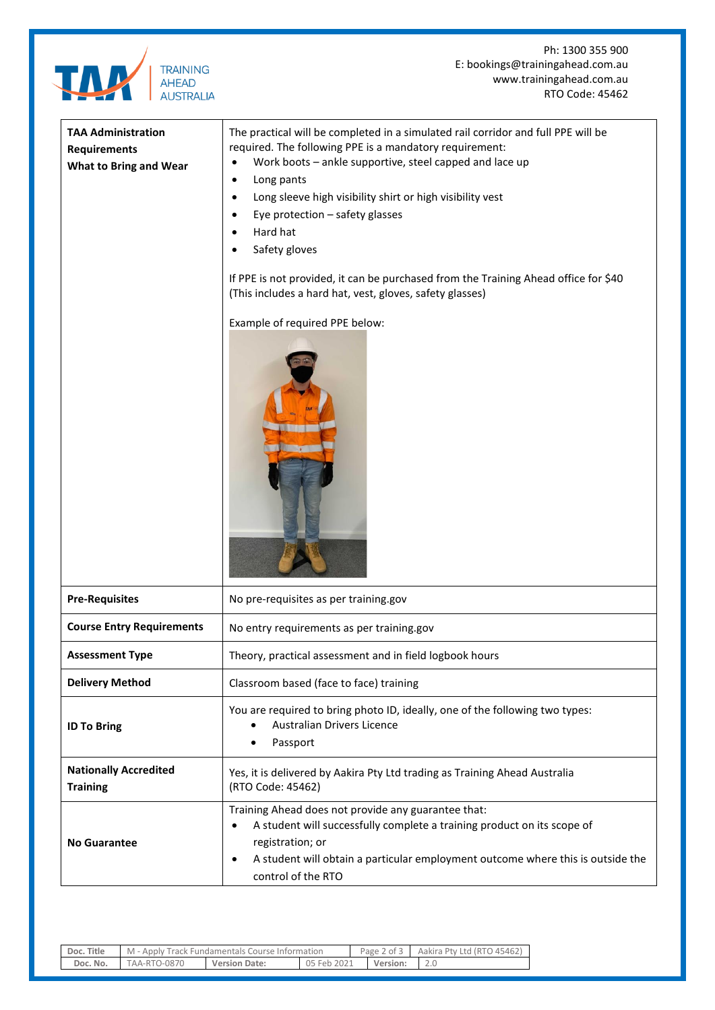

Ph: 1300 355 900 E: bookings@trainingahead.com.au www.trainingahead.com.au RTO Code: 45462

| <b>TAA Administration</b><br><b>Requirements</b><br><b>What to Bring and Wear</b> | The practical will be completed in a simulated rail corridor and full PPE will be<br>required. The following PPE is a mandatory requirement:<br>Work boots - ankle supportive, steel capped and lace up<br>$\bullet$<br>Long pants<br>Long sleeve high visibility shirt or high visibility vest<br>Eye protection - safety glasses<br>Hard hat<br>Safety gloves<br>If PPE is not provided, it can be purchased from the Training Ahead office for \$40<br>(This includes a hard hat, vest, gloves, safety glasses)<br>Example of required PPE below: |  |  |  |
|-----------------------------------------------------------------------------------|------------------------------------------------------------------------------------------------------------------------------------------------------------------------------------------------------------------------------------------------------------------------------------------------------------------------------------------------------------------------------------------------------------------------------------------------------------------------------------------------------------------------------------------------------|--|--|--|
| <b>Pre-Requisites</b>                                                             | No pre-requisites as per training.gov                                                                                                                                                                                                                                                                                                                                                                                                                                                                                                                |  |  |  |
| <b>Course Entry Requirements</b>                                                  | No entry requirements as per training.gov                                                                                                                                                                                                                                                                                                                                                                                                                                                                                                            |  |  |  |
| <b>Assessment Type</b>                                                            | Theory, practical assessment and in field logbook hours                                                                                                                                                                                                                                                                                                                                                                                                                                                                                              |  |  |  |
| <b>Delivery Method</b>                                                            | Classroom based (face to face) training                                                                                                                                                                                                                                                                                                                                                                                                                                                                                                              |  |  |  |
| <b>ID To Bring</b>                                                                | You are required to bring photo ID, ideally, one of the following two types:<br>Australian Drivers Licence<br>Passport                                                                                                                                                                                                                                                                                                                                                                                                                               |  |  |  |
| <b>Nationally Accredited</b><br><b>Training</b>                                   | Yes, it is delivered by Aakira Pty Ltd trading as Training Ahead Australia<br>(RTO Code: 45462)                                                                                                                                                                                                                                                                                                                                                                                                                                                      |  |  |  |
| <b>No Guarantee</b>                                                               | Training Ahead does not provide any guarantee that:<br>A student will successfully complete a training product on its scope of<br>$\bullet$<br>registration; or<br>A student will obtain a particular employment outcome where this is outside the<br>$\bullet$<br>control of the RTO                                                                                                                                                                                                                                                                |  |  |  |

| Doc. Title | M - Apply Track Fundamentals Course Information |                      |             | Page $2$ of $3$ | Aakira Pty Ltd (RTO 45462) |
|------------|-------------------------------------------------|----------------------|-------------|-----------------|----------------------------|
| Doc. No.   | TAA-RTO-0870                                    | <b>Version Date:</b> | 05 Feb 2021 | Version:        |                            |